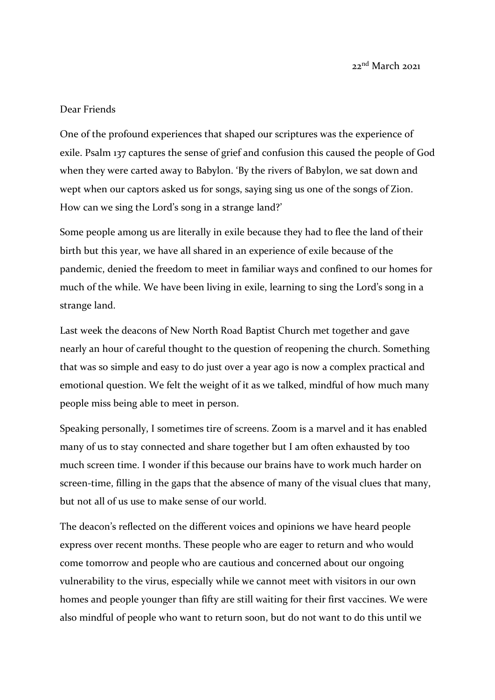## Dear Friends

One of the profound experiences that shaped our scriptures was the experience of exile. Psalm 137 captures the sense of grief and confusion this caused the people of God when they were carted away to Babylon. 'By the rivers of Babylon, we sat down and wept when our captors asked us for songs, saying sing us one of the songs of Zion. How can we sing the Lord's song in a strange land?'

Some people among us are literally in exile because they had to flee the land of their birth but this year, we have all shared in an experience of exile because of the pandemic, denied the freedom to meet in familiar ways and confined to our homes for much of the while. We have been living in exile, learning to sing the Lord's song in a strange land.

Last week the deacons of New North Road Baptist Church met together and gave nearly an hour of careful thought to the question of reopening the church. Something that was so simple and easy to do just over a year ago is now a complex practical and emotional question. We felt the weight of it as we talked, mindful of how much many people miss being able to meet in person.

Speaking personally, I sometimes tire of screens. Zoom is a marvel and it has enabled many of us to stay connected and share together but I am often exhausted by too much screen time. I wonder if this because our brains have to work much harder on screen-time, filling in the gaps that the absence of many of the visual clues that many, but not all of us use to make sense of our world.

The deacon's reflected on the different voices and opinions we have heard people express over recent months. These people who are eager to return and who would come tomorrow and people who are cautious and concerned about our ongoing vulnerability to the virus, especially while we cannot meet with visitors in our own homes and people younger than fifty are still waiting for their first vaccines. We were also mindful of people who want to return soon, but do not want to do this until we